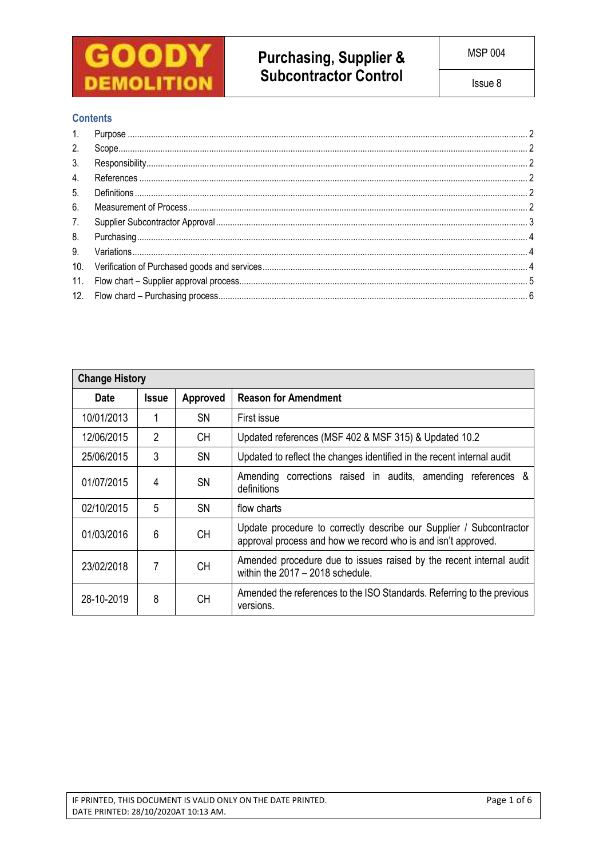

# **Contents**

| 2.             |  |
|----------------|--|
| 3.             |  |
| 4.             |  |
| 5.             |  |
| 6.             |  |
| 7.             |  |
| 8.             |  |
| 9 <sub>1</sub> |  |
|                |  |
|                |  |
|                |  |

| <b>Change History</b> |                |                 |                                                                                                                                      |  |  |  |  |
|-----------------------|----------------|-----------------|--------------------------------------------------------------------------------------------------------------------------------------|--|--|--|--|
| <b>Date</b>           | <b>Issue</b>   | <b>Approved</b> | <b>Reason for Amendment</b>                                                                                                          |  |  |  |  |
| 10/01/2013            |                | <b>SN</b>       | First issue                                                                                                                          |  |  |  |  |
| 12/06/2015            | $\overline{2}$ | <b>CH</b>       | Updated references (MSF 402 & MSF 315) & Updated 10.2                                                                                |  |  |  |  |
| 25/06/2015            | 3              | <b>SN</b>       | Updated to reflect the changes identified in the recent internal audit                                                               |  |  |  |  |
| 01/07/2015            | 4              | <b>SN</b>       | corrections raised in audits, amending references &<br>Amending<br>definitions                                                       |  |  |  |  |
| 02/10/2015            | 5              | <b>SN</b>       | flow charts                                                                                                                          |  |  |  |  |
| 01/03/2016            | 6              | <b>CH</b>       | Update procedure to correctly describe our Supplier / Subcontractor<br>approval process and how we record who is and isn't approved. |  |  |  |  |
| 23/02/2018            | 7              | <b>CH</b>       | Amended procedure due to issues raised by the recent internal audit<br>within the $2017 - 2018$ schedule.                            |  |  |  |  |
| 28-10-2019            | 8              | <b>CH</b>       | Amended the references to the ISO Standards. Referring to the previous<br>versions.                                                  |  |  |  |  |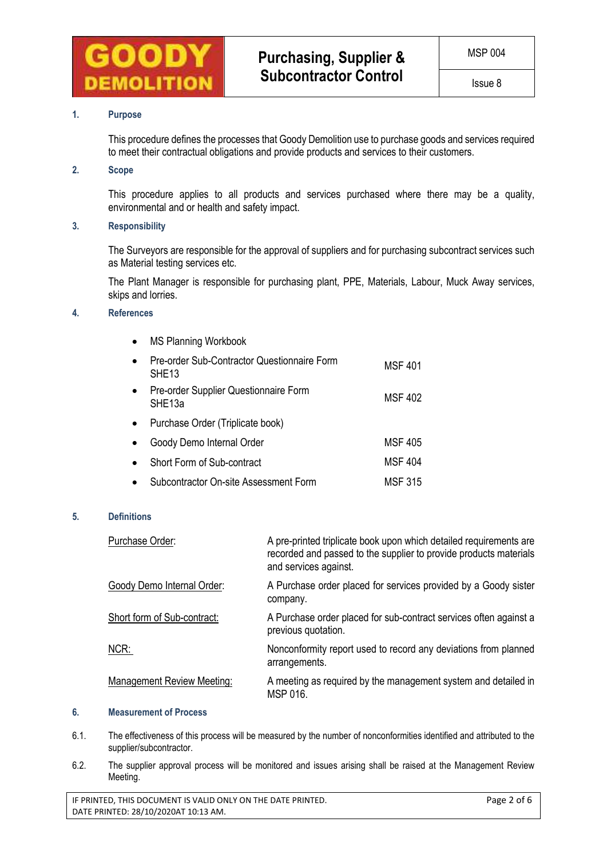

## **1. Purpose**

This procedure defines the processes that Goody Demolition use to purchase goods and services required to meet their contractual obligations and provide products and services to their customers.

# **2. Scope**

This procedure applies to all products and services purchased where there may be a quality, environmental and or health and safety impact.

# **3. Responsibility**

The Surveyors are responsible for the approval of suppliers and for purchasing subcontract services such as Material testing services etc.

The Plant Manager is responsible for purchasing plant, PPE, Materials, Labour, Muck Away services, skips and lorries.

### **4. References**

• MS Planning Workbook

| $\bullet$ | Pre-order Sub-Contractor Questionnaire Form<br>SHE <sub>13</sub> | <b>MSF 401</b> |
|-----------|------------------------------------------------------------------|----------------|
| $\bullet$ | Pre-order Supplier Questionnaire Form<br>SHE <sub>13a</sub>      | <b>MSF 402</b> |
| $\bullet$ | Purchase Order (Triplicate book)                                 |                |
| $\bullet$ | Goody Demo Internal Order                                        | MSF 405        |
| $\bullet$ | Short Form of Sub-contract                                       | <b>MSF 404</b> |
| $\bullet$ | Subcontractor On-site Assessment Form                            | <b>MSF 315</b> |

### **5. Definitions**

| Purchase Order:             | A pre-printed triplicate book upon which detailed requirements are<br>recorded and passed to the supplier to provide products materials<br>and services against. |
|-----------------------------|------------------------------------------------------------------------------------------------------------------------------------------------------------------|
| Goody Demo Internal Order:  | A Purchase order placed for services provided by a Goody sister<br>company.                                                                                      |
| Short form of Sub-contract: | A Purchase order placed for sub-contract services often against a<br>previous quotation.                                                                         |
| NCR:                        | Nonconformity report used to record any deviations from planned<br>arrangements.                                                                                 |
| Management Review Meeting:  | A meeting as required by the management system and detailed in<br>MSP 016.                                                                                       |

### **6. Measurement of Process**

- 6.1. The effectiveness of this process will be measured by the number of nonconformities identified and attributed to the supplier/subcontractor.
- 6.2. The supplier approval process will be monitored and issues arising shall be raised at the Management Review Meeting.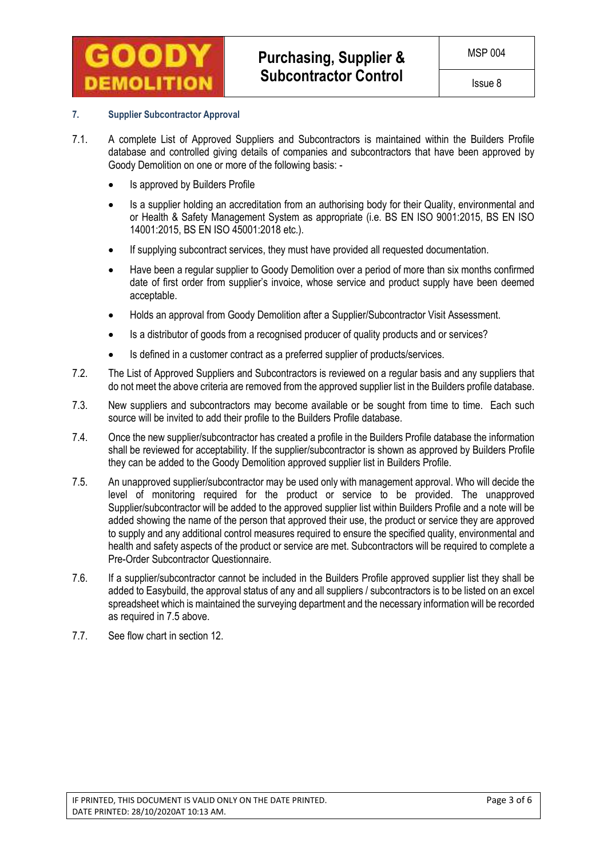

## **7. Supplier Subcontractor Approval**

- 7.1. A complete List of Approved Suppliers and Subcontractors is maintained within the Builders Profile database and controlled giving details of companies and subcontractors that have been approved by Goody Demolition on one or more of the following basis: -
	- Is approved by Builders Profile
	- Is a supplier holding an accreditation from an authorising body for their Quality, environmental and or Health & Safety Management System as appropriate (i.e. BS EN ISO 9001:2015, BS EN ISO 14001:2015, BS EN ISO 45001:2018 etc.).
	- If supplying subcontract services, they must have provided all requested documentation.
	- Have been a regular supplier to Goody Demolition over a period of more than six months confirmed date of first order from supplier's invoice, whose service and product supply have been deemed acceptable.
	- Holds an approval from Goody Demolition after a Supplier/Subcontractor Visit Assessment.
	- Is a distributor of goods from a recognised producer of quality products and or services?
	- Is defined in a customer contract as a preferred supplier of products/services.
- 7.2. The List of Approved Suppliers and Subcontractors is reviewed on a regular basis and any suppliers that do not meet the above criteria are removed from the approved supplier list in the Builders profile database.
- 7.3. New suppliers and subcontractors may become available or be sought from time to time. Each such source will be invited to add their profile to the Builders Profile database.
- 7.4. Once the new supplier/subcontractor has created a profile in the Builders Profile database the information shall be reviewed for acceptability. If the supplier/subcontractor is shown as approved by Builders Profile they can be added to the Goody Demolition approved supplier list in Builders Profile.
- 7.5. An unapproved supplier/subcontractor may be used only with management approval. Who will decide the level of monitoring required for the product or service to be provided. The unapproved Supplier/subcontractor will be added to the approved supplier list within Builders Profile and a note will be added showing the name of the person that approved their use, the product or service they are approved to supply and any additional control measures required to ensure the specified quality, environmental and health and safety aspects of the product or service are met. Subcontractors will be required to complete a Pre-Order Subcontractor Questionnaire.
- 7.6. If a supplier/subcontractor cannot be included in the Builders Profile approved supplier list they shall be added to Easybuild, the approval status of any and all suppliers / subcontractors is to be listed on an excel spreadsheet which is maintained the surveying department and the necessary information will be recorded as required in 7.5 above.
- 7.7. See flow chart in section 12.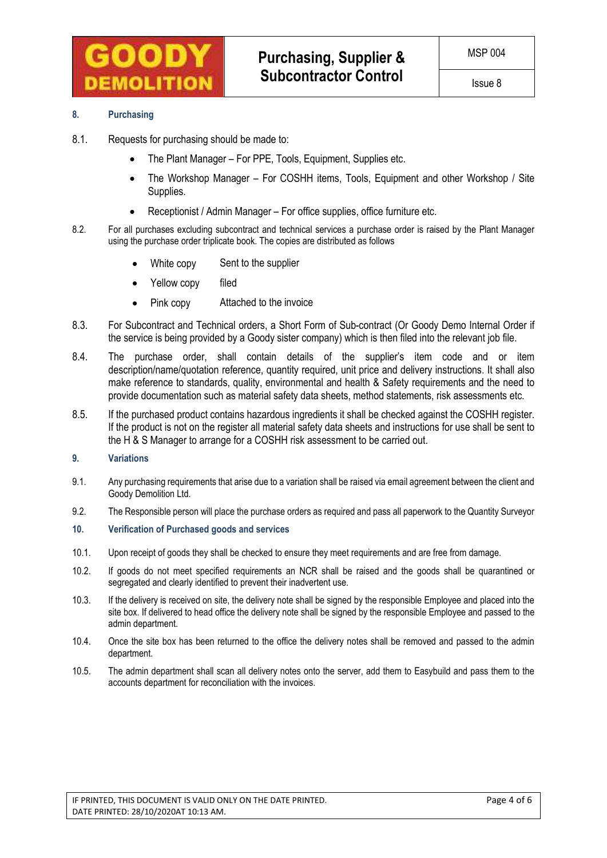

#### **8. Purchasing**

- 8.1. Requests for purchasing should be made to:
	- The Plant Manager For PPE, Tools, Equipment, Supplies etc.
	- The Workshop Manager For COSHH items, Tools, Equipment and other Workshop / Site Supplies.
	- Receptionist / Admin Manager For office supplies, office furniture etc.
- 8.2. For all purchases excluding subcontract and technical services a purchase order is raised by the Plant Manager using the purchase order triplicate book. The copies are distributed as follows
	- White copy Sent to the supplier
	- Yellow copy filed
	- Pink copy Attached to the invoice
- 8.3. For Subcontract and Technical orders, a Short Form of Sub-contract (Or Goody Demo Internal Order if the service is being provided by a Goody sister company) which is then filed into the relevant job file.
- 8.4. The purchase order, shall contain details of the supplier's item code and or item description/name/quotation reference, quantity required, unit price and delivery instructions. It shall also make reference to standards, quality, environmental and health & Safety requirements and the need to provide documentation such as material safety data sheets, method statements, risk assessments etc.
- 8.5. If the purchased product contains hazardous ingredients it shall be checked against the COSHH register. If the product is not on the register all material safety data sheets and instructions for use shall be sent to the H & S Manager to arrange for a COSHH risk assessment to be carried out.

#### **9. Variations**

- 9.1. Any purchasing requirements that arise due to a variation shall be raised via email agreement between the client and Goody Demolition Ltd.
- 9.2. The Responsible person will place the purchase orders as required and pass all paperwork to the Quantity Surveyor
- **10. Verification of Purchased goods and services**
- 10.1. Upon receipt of goods they shall be checked to ensure they meet requirements and are free from damage.
- 10.2. If goods do not meet specified requirements an NCR shall be raised and the goods shall be quarantined or segregated and clearly identified to prevent their inadvertent use.
- 10.3. If the delivery is received on site, the delivery note shall be signed by the responsible Employee and placed into the site box. If delivered to head office the delivery note shall be signed by the responsible Employee and passed to the admin department.
- 10.4. Once the site box has been returned to the office the delivery notes shall be removed and passed to the admin department.
- 10.5. The admin department shall scan all delivery notes onto the server, add them to Easybuild and pass them to the accounts department for reconciliation with the invoices.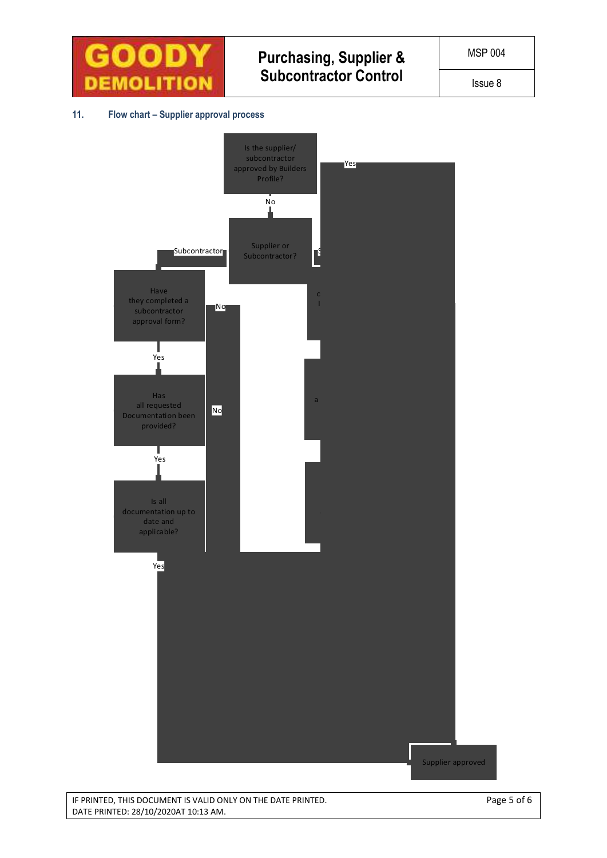

#### **11. Flow chart – Supplier approval process**